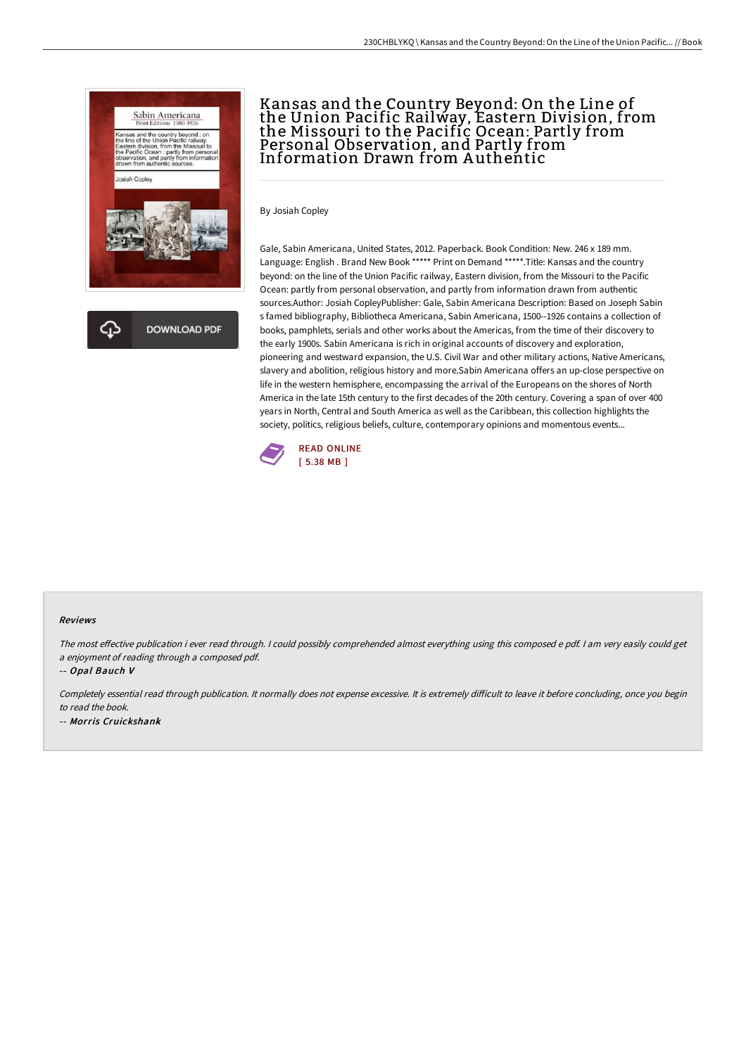

## Kansas and the Country Beyond: On the Line of the Union Pacific Railway, Eastern Division, from the Missouri to the Pacific Ocean: Partly from Personal Observation, and Partly from Information Drawn from Authentic

By Josiah Copley

Gale, Sabin Americana, United States, 2012. Paperback. Book Condition: New. 246 x 189 mm. Language: English . Brand New Book \*\*\*\*\* Print on Demand \*\*\*\*\*.Title: Kansas and the country beyond: on the line of the Union Pacific railway, Eastern division, from the Missouri to the Pacific Ocean: partly from personal observation, and partly from information drawn from authentic sources.Author: Josiah CopleyPublisher: Gale, Sabin Americana Description: Based on Joseph Sabin s famed bibliography, Bibliotheca Americana, Sabin Americana, 1500--1926 contains a collection of books, pamphlets, serials and other works about the Americas, from the time of their discovery to the early 1900s. Sabin Americana is rich in original accounts of discovery and exploration, pioneering and westward expansion, the U.S. Civil War and other military actions, Native Americans, slavery and abolition, religious history and more.Sabin Americana offers an up-close perspective on life in the western hemisphere, encompassing the arrival of the Europeans on the shores of North America in the late 15th century to the first decades of the 20th century. Covering a span of over 400 years in North, Central and South America as well as the Caribbean, this collection highlights the society, politics, religious beliefs, culture, contemporary opinions and momentous events...



## Reviews

The most effective publication i ever read through. I could possibly comprehended almost everything using this composed e pdf. I am very easily could get <sup>a</sup> enjoyment of reading through <sup>a</sup> composed pdf.

-- Opal Bauch V

Completely essential read through publication. It normally does not expense excessive. It is extremely difficult to leave it before concluding, once you begin to read the book. -- Morris Cruickshank